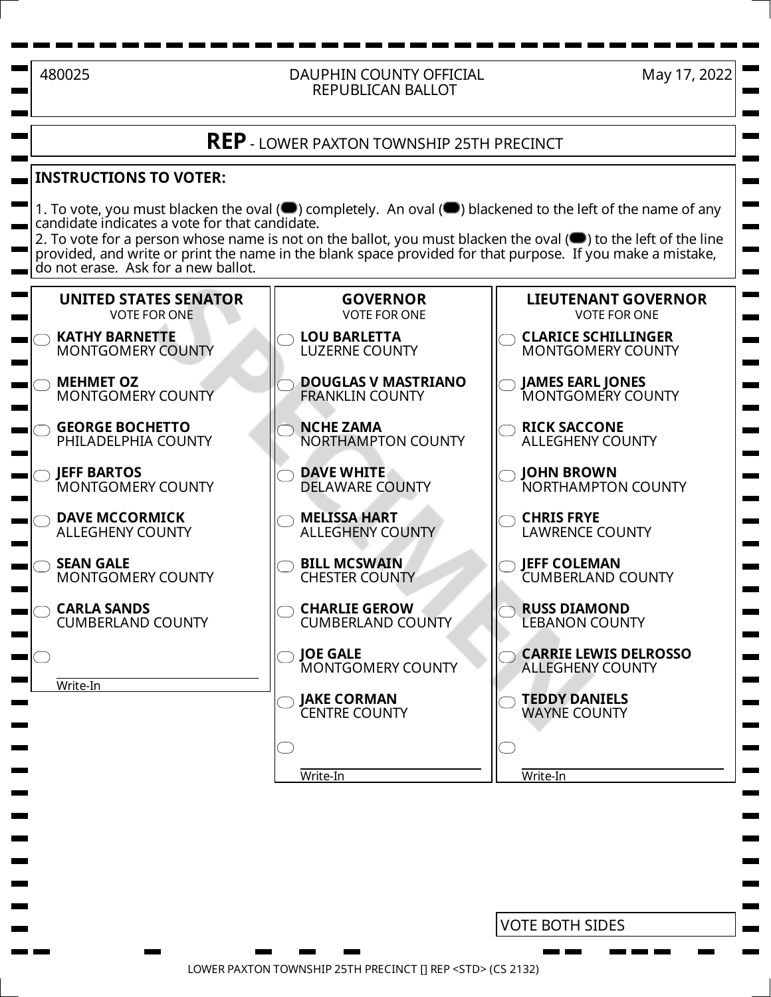## 480025 DAUPHIN COUNTY OFFICIAL REPUBLICAN BALLOT

## **REP**- LOWER PAXTON TOWNSHIP 25TH PRECINCT **INSTRUCTIONS TO VOTER:** 1. To vote, you must blacken the oval (●) completely. An oval (●) blackened to the left of the name of any candidate indicates a vote for that candidate. 2. To vote for a person whose name is not on the ballot, you must blacken the oval ( $\blacksquare$ ) to the left of the line provided, and write or print the name in the blank space provided for that purpose. If you make a mistake, do not erase. Ask for a new ballot. **UNITED STATES SENATOR** VOTE FOR ONE **KATHY BARNETTE** MONTGOMERY COUNTY **MEHMET OZ** MONTGOMERY COUNTY **GEORGE BOCHETTO** PHILADELPHIA COUNTY **JEFF BARTOS** MONTGOMERY COUNTY **DAVE MCCORMICK** ALLEGHENY COUNTY  $\frown$  **SEAN GALE** MONTGOMERY COUNTY **CARLA SANDS** CUMBERLAND COUNTY Write-In **GOVERNOR** VOTE FOR ONE **LOU BARLETTA** LUZERNE COUNTY **DOUGLAS V MASTRIANO** FRANKLIN COUNTY **NCHE ZAMA** NORTHAMPTON COUNTY **DAVE WHITE** DELAWARE COUNTY **MELISSA HART** ALLEGHENY COUNTY **BILL MCSWAIN** CHESTER COUNTY **CHARLIE GEROW** CUMBERLAND COUNTY **JOE GALE** MONTGOMERY COUNTY **JAKE CORMAN** CENTRE COUNTY **LIEUTENANT GOVERNOR** VOTE FOR ONE **CLARICE SCHILLINGER** MONTGOMERY COUNTY **JAMES EARL JONES** MONTGOMERY COUNTY **RICK SACCONE** ALLEGHENY COUNTY **JOHN BROWN** NORTHAMPTON COUNTY **CHRIS FRYE** LAWRENCE COUNTY **JEFF COLEMAN** CUMBERLAND COUNTY **RUSS DIAMOND** LEBANON COUNTY **CARRIE LEWIS DELROSSO** ALLEGHENY COUNTY **TEDDY DANIELS** WAYNE COUNTY

Write-In

## VOTE BOTH SIDES

Write-In